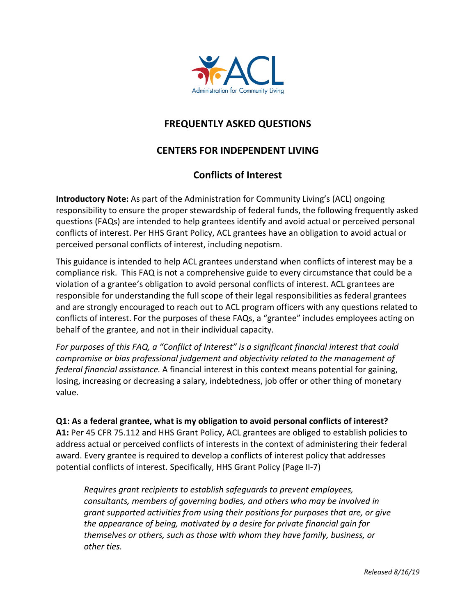

# **FREQUENTLY ASKED QUESTIONS**

# **CENTERS FOR INDEPENDENT LIVING**

## **Conflicts of Interest**

**Introductory Note:** As part of the Administration for Community Living's (ACL) ongoing responsibility to ensure the proper stewardship of federal funds, the following frequently asked questions (FAQs) are intended to help grantees identify and avoid actual or perceived personal conflicts of interest. Per HHS Grant Policy, ACL grantees have an obligation to avoid actual or perceived personal conflicts of interest, including nepotism.

This guidance is intended to help ACL grantees understand when conflicts of interest may be a compliance risk. This FAQ is not a comprehensive guide to every circumstance that could be a violation of a grantee's obligation to avoid personal conflicts of interest. ACL grantees are responsible for understanding the full scope of their legal responsibilities as federal grantees and are strongly encouraged to reach out to ACL program officers with any questions related to conflicts of interest. For the purposes of these FAQs, a "grantee" includes employees acting on behalf of the grantee, and not in their individual capacity.

*For purposes of this FAQ, a "Conflict of Interest" is a significant financial interest that could compromise or bias professional judgement and objectivity related to the management of federal financial assistance.* A financial interest in this context means potential for gaining, losing, increasing or decreasing a salary, indebtedness, job offer or other thing of monetary value.

#### **Q1: As a federal grantee, what is my obligation to avoid personal conflicts of interest?**

**A1:** Per 45 CFR 75.112 and HHS Grant Policy, ACL grantees are obliged to establish policies to address actual or perceived conflicts of interests in the context of administering their federal award. Every grantee is required to develop a conflicts of interest policy that addresses potential conflicts of interest. Specifically, HHS Grant Policy (Page II-7)

*Requires grant recipients to establish safeguards to prevent employees, consultants, members of governing bodies, and others who may be involved in grant supported activities from using their positions for purposes that are, or give the appearance of being, motivated by a desire for private financial gain for themselves or others, such as those with whom they have family, business, or other ties.*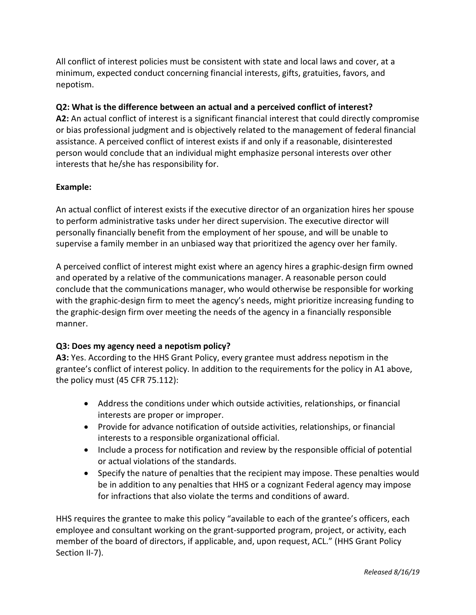All conflict of interest policies must be consistent with state and local laws and cover, at a minimum, expected conduct concerning financial interests, gifts, gratuities, favors, and nepotism.

### **Q2: What is the difference between an actual and a perceived conflict of interest?**

**A2:** An actual conflict of interest is a significant financial interest that could directly compromise or bias professional judgment and is objectively related to the management of federal financial assistance. A perceived conflict of interest exists if and only if a reasonable, disinterested person would conclude that an individual might emphasize personal interests over other interests that he/she has responsibility for.

### **Example:**

An actual conflict of interest exists if the executive director of an organization hires her spouse to perform administrative tasks under her direct supervision. The executive director will personally financially benefit from the employment of her spouse, and will be unable to supervise a family member in an unbiased way that prioritized the agency over her family.

A perceived conflict of interest might exist where an agency hires a graphic-design firm owned and operated by a relative of the communications manager. A reasonable person could conclude that the communications manager, who would otherwise be responsible for working with the graphic-design firm to meet the agency's needs, might prioritize increasing funding to the graphic-design firm over meeting the needs of the agency in a financially responsible manner.

### **Q3: Does my agency need a nepotism policy?**

**A3:** Yes. According to the HHS Grant Policy, every grantee must address nepotism in the grantee's conflict of interest policy. In addition to the requirements for the policy in A1 above, the policy must (45 CFR 75.112):

- Address the conditions under which outside activities, relationships, or financial interests are proper or improper.
- Provide for advance notification of outside activities, relationships, or financial interests to a responsible organizational official.
- Include a process for notification and review by the responsible official of potential or actual violations of the standards.
- Specify the nature of penalties that the recipient may impose. These penalties would be in addition to any penalties that HHS or a cognizant Federal agency may impose for infractions that also violate the terms and conditions of award.

HHS requires the grantee to make this policy "available to each of the grantee's officers, each employee and consultant working on the grant-supported program, project, or activity, each member of the board of directors, if applicable, and, upon request, ACL." (HHS Grant Policy Section II-7).